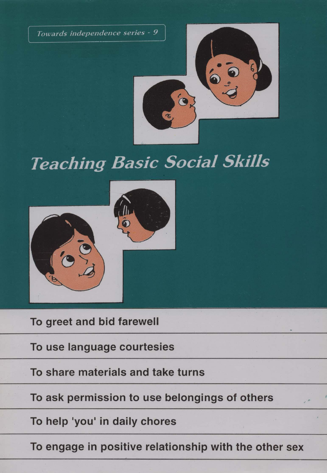

# **Teaching Basic Social Skills**



To greet and bid farewell

To use language courtesies

To share materials and take turns

To ask permission to use belongings of others

To help 'you' in daily chores

To engage in positive relationship with the other sex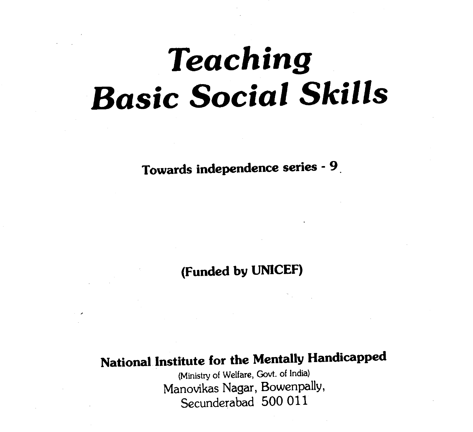# Teaching<br>Basic Social Skills

Towards independence series - 9

(Funded by UNICEF)

National Institute for the Mentally Handicapped

(Ministry of Welfare, Govt. of India) Manovikas Nagar, Bowenpally, Secunderabad 500 011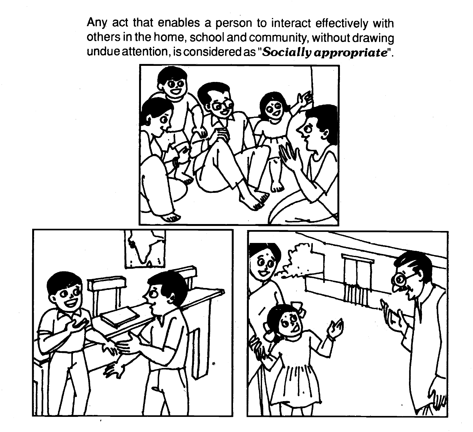Any act that enables a person to interact effectively with others in the home, school and community, without drawing undue attention, is considered as "Socially appropriate".

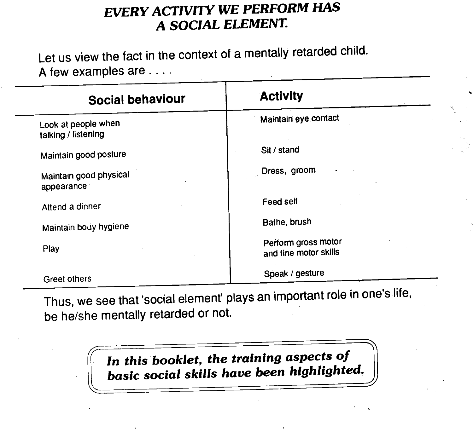# EVERY ACTIVITY WE PERFORM HAS A SOCIAL ELEMENT.

Let us view the fact in the context of a mentally retarded child. A few examples are . . . .

| Social behaviour                           | <b>Activity</b>                              |
|--------------------------------------------|----------------------------------------------|
| Look at people when<br>talking / listening | Maintain eye contact                         |
| Maintain good posture                      | Sit / stand                                  |
| Maintain good physical<br>appearance       | Dress, groom                                 |
| Attend a dinner                            | Feed self                                    |
| Maintain bouy hygiene                      | Bathe, brush                                 |
| Play                                       | Perform gross motor<br>and fine motor skills |
| Greet others                               | Speak / gesture                              |

Thus, we see that 'social element' playsan important role in one's.life, be he/she mentally retarded or not.

> In this booklet, the training aspects of basic social skills have been highlighted.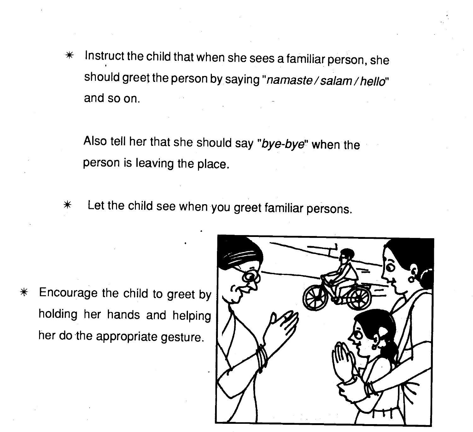Instruct the child that when she sees a familiar person, she ₩ should greet the person by saying "namaste/salam/hello" and soon.

Also tell her that she should say "bye-bye" when the person is leaving the place.

\* Let the child see when you greet familiar persons.

\* Encourage the child to greet by holding her hands and helping her do the appropriate gesture.

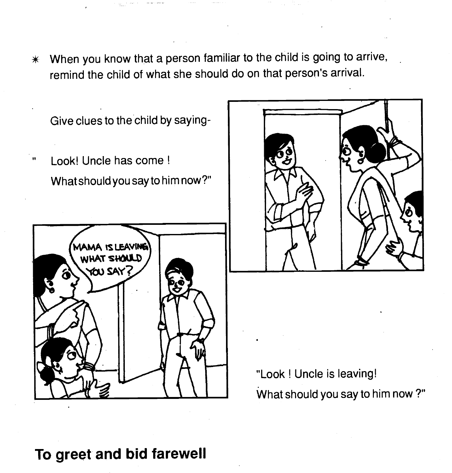$*$  When you know that a person familiar to the child is going to arrive, remind the child of what she should do on that person's arrival.

Give clues to the child by saying-

Look! Uncle has come! n What should you say to him now?"





"Look ! Uncle is leaving! What should you say to him now ?"

# To greet and bid farewell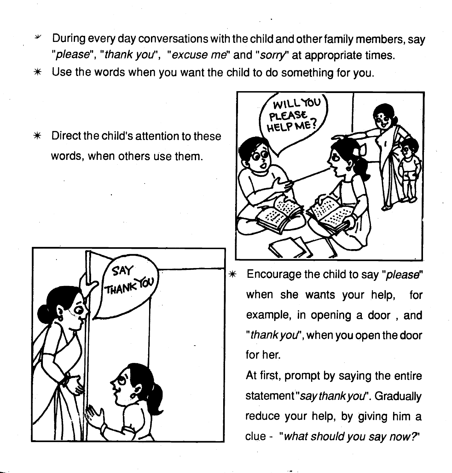- During every day conversations with the child and other family members, say "please", "thank you", "excuse me" and "sorry" at appropriate times.
- Use the words when you want the child to do something for you.  $\ast$

 $*$  Direct the child's attention to these words, when others use them.





\* Encourage the child to say "*please*" when she wants your help, for example, in opening a door , and "thank you", when you open the door for her.

At first, prompt by saying the entire statement"say thank you". Gradually reduce your help, by giving him a clue - "what should you say now?"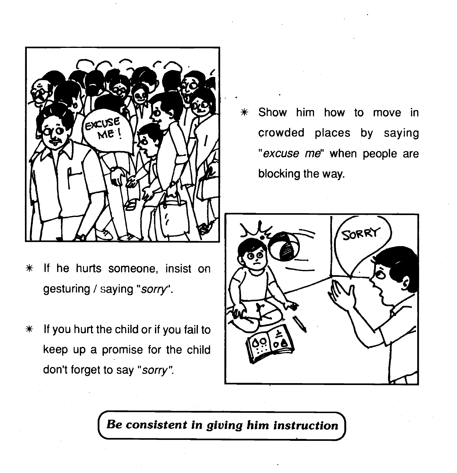

- $*$  If he hurts someone, insist on gesturing / saying "sorry'.
- If you hurt the child or if you fail to  $\ast$ keep up a promise for the child don't forget to say "sorry".

Show him how to move in crowded places by saying "excuse me" when people are blocking the way.



Be consistent in giving him instruction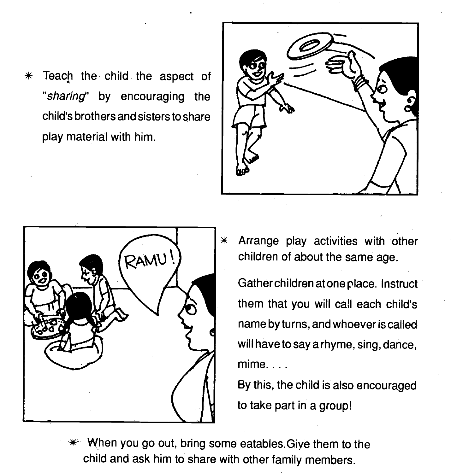Teach the child the aspect of  $\ast$ "sharing" by encouraging the child's brothers and sisters to share play material with him.





 $*$  Arrange play activities with other children of about the same age.

Gatherchildren atone place. Instruct them that you will call each child's name by turns, and whoever is called will have to say a rhyme, sing, dance, mime....

By this, the child is also encouraged to take part in a group!

When you go out, bring some eatables. Give them to the child and ask him to share with other family members.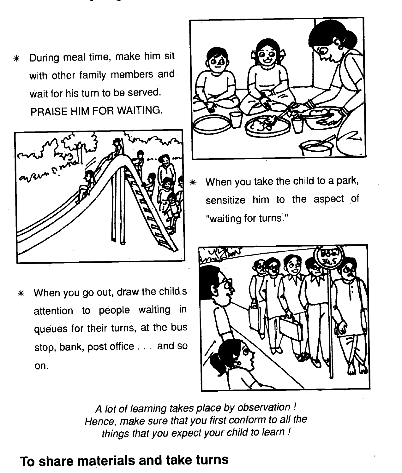\* During meal time, make him sit with other family members and wait for his turn to be served. PRAISE HIM FOR WAITING.



When you go out, draw the child s attention to people waiting in queues for their turns, at the bus stop, bank, post office... and so on.



When you take the child to a park, sensitize him to the aspect of "waiting for turns."



A lot of learning takes place by observation! Hence, make sure that you first conform to all the things that you expect your child to learn !

# To share materials and take turns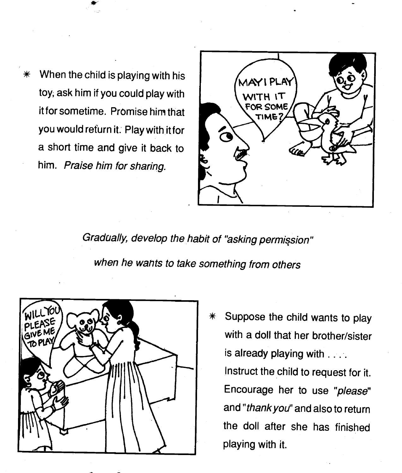$*$  When the child is playing with his toy; ask him if you could play with it for sometime. Promise him that you would refurn it; Playwith itfor a short time and give it back to him. Praise him for sharing.



Gradually, develop the habit of "asking permission" when he wants to take something from others



\* Suppose the child wants to play with a doll that her brother/sister is already playing with . . Instruct the child to request for it. Encourage her to use "please" and "thank you" and also to return the doll after she has finished playing with it.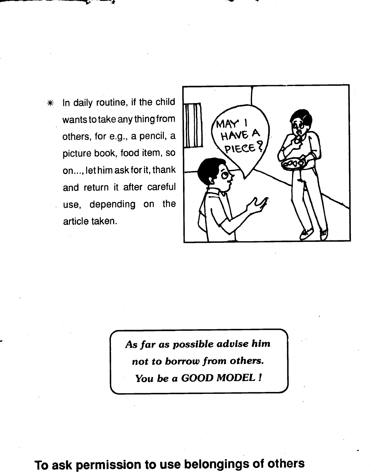\* In daily routine, if the child wants to take any thing from others, for e.g., a pencil, a  $\parallel \parallel \parallel \parallel \parallel A$ <br>picture book, food item so picture book, food item, so on..., let him ask for it, thank and return it after careful use, depending on the article taken.



As far as possible advise him not to borrow from others. You be a GOOD MODEL!

To ask permission to use belongings of others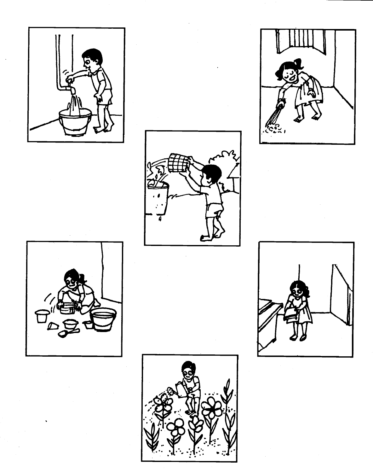









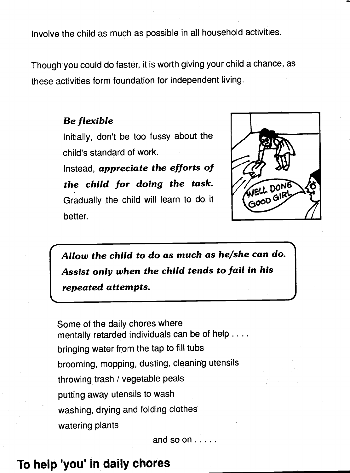Involve the child as much as possible in all household activities.

Though you could do faster, it is worth giving your child a chance, as these activities form foundation for independent living.

#### Be flexible

Initially, don't be too fussy about the child's standard of work.

Instead, appreciate the efforts of the child for doing the task. Gradually the child will learn to do it better.



Allow the child to do as much as he/she can do. Assist only when the child tends to fail in his repeated attempts. I

Some of the daily chores where mentally retarded individuals can be of help.... bringing water from the tap to fill tubs brooming, mopping, dusting, cleaning utensils throwing trash / vegetable peals putting away utensils to wash washing, drying and folding clothes watering plants

and so on  $\dots$ .

# To help 'you' in daily chores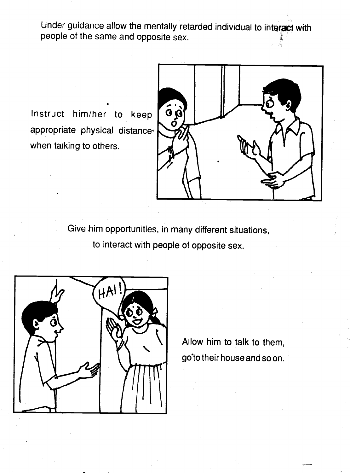Under guidance allow the mentally retarded individual to interact with people of the same and opposite sex

Instruct him/her to keep **60** appropriate physical distancewhen taiking to others.



Give him opportunities, in many different situations, to interact with people of opposite sex.



Allow him to talk to them, go'to their house and so on.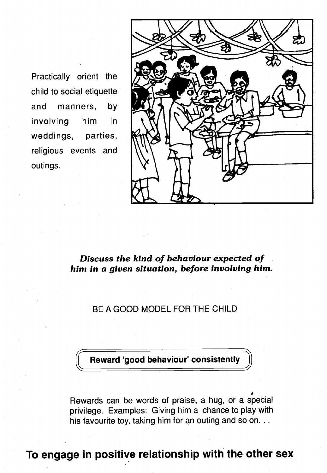Practically orient the child to social etiquette and manners, by involving him in weddings, parties, religious events and outings.



Discuss the kind of behaviour expected of him in a given situation, before involving him.

### BE A GOOD MODEL FOR THE CHILD

Reward 'good behaviour' consistently

Rewards can be words of praise, a hug, or a special privilege. Examples: Giving him a chance to play with his favourite toy, taking him for an outing and so on. . .

To engage in positive relationship with the other sex